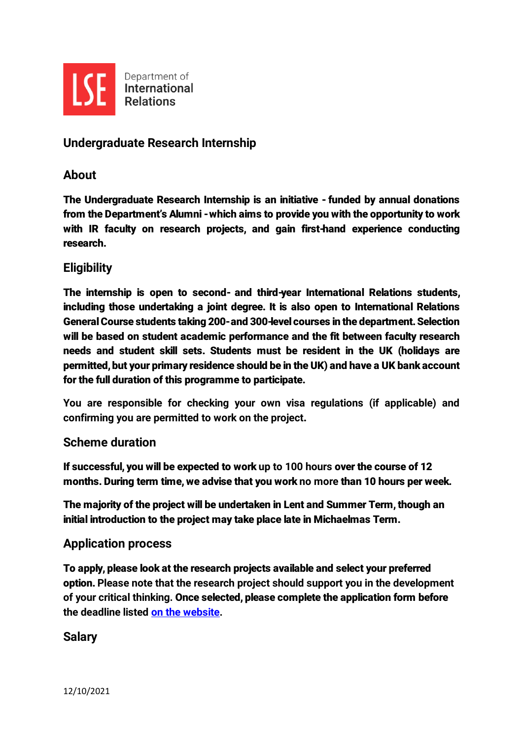

# **Undergraduate Research Internship**

#### **About**

The Undergraduate Research Internship is an initiative - funded by annual donations from the Department's Alumni -which aims to provide you with the opportunity to work with IR faculty on research projects, and gain first-hand experience conducting research.

### **Eligibility**

The internship is open to second- and third-year International Relations students, including those undertaking a joint degree. It is also open to International Relations General Course students taking 200-and 300-level courses in the department. Selection will be based on student academic performance and the fit between faculty research needs and student skill sets. Students must be resident in the UK (holidays are permitted, but your primary residence should be in the UK) and have a UK bank account for the full duration of this programme to participate.

**You are responsible for checking your own visa regulations (if applicable) and confirming you are permitted to work on the project**.

#### **Scheme duration**

If successful, you will be expected to work **up to 100 hours** over the course of 12 months. During term time, we advise that you work **no more** than 10 hours per week.

The majority of the project will be undertaken in Lent and Summer Term, though an initial introduction to the project may take place late in Michaelmas Term.

#### **Application process**

To apply, please look at the research projects available and select your preferred option. **Please note that the research project should support you in the development of your critical thinking.** Once selected, please complete the application form before **the deadline listed [on the website.](https://www.lse.ac.uk/international-relations/current-students/professional-development-opportunities/internships.aspx)**

### **Salary**